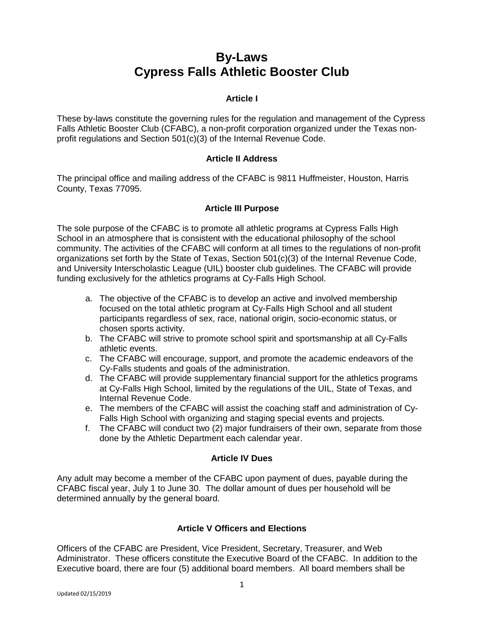# **By-Laws Cypress Falls Athletic Booster Club**

# **Article I**

These by-laws constitute the governing rules for the regulation and management of the Cypress Falls Athletic Booster Club (CFABC), a non-profit corporation organized under the Texas nonprofit regulations and Section 501(c)(3) of the Internal Revenue Code.

# **Article II Address**

The principal office and mailing address of the CFABC is 9811 Huffmeister, Houston, Harris County, Texas 77095.

# **Article III Purpose**

The sole purpose of the CFABC is to promote all athletic programs at Cypress Falls High School in an atmosphere that is consistent with the educational philosophy of the school community. The activities of the CFABC will conform at all times to the regulations of non-profit organizations set forth by the State of Texas, Section 501(c)(3) of the Internal Revenue Code, and University Interscholastic League (UIL) booster club guidelines. The CFABC will provide funding exclusively for the athletics programs at Cy-Falls High School.

- a. The objective of the CFABC is to develop an active and involved membership focused on the total athletic program at Cy-Falls High School and all student participants regardless of sex, race, national origin, socio-economic status, or chosen sports activity.
- b. The CFABC will strive to promote school spirit and sportsmanship at all Cy-Falls athletic events.
- c. The CFABC will encourage, support, and promote the academic endeavors of the Cy-Falls students and goals of the administration.
- d. The CFABC will provide supplementary financial support for the athletics programs at Cy-Falls High School, limited by the regulations of the UIL, State of Texas, and Internal Revenue Code.
- e. The members of the CFABC will assist the coaching staff and administration of Cy-Falls High School with organizing and staging special events and projects.
- f. The CFABC will conduct two (2) major fundraisers of their own, separate from those done by the Athletic Department each calendar year.

# **Article IV Dues**

Any adult may become a member of the CFABC upon payment of dues, payable during the CFABC fiscal year, July 1 to June 30. The dollar amount of dues per household will be determined annually by the general board.

# **Article V Officers and Elections**

Officers of the CFABC are President, Vice President, Secretary, Treasurer, and Web Administrator. These officers constitute the Executive Board of the CFABC. In addition to the Executive board, there are four (5) additional board members. All board members shall be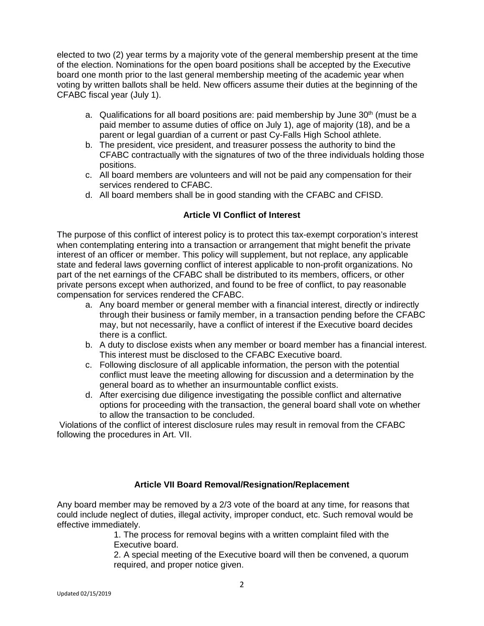elected to two (2) year terms by a majority vote of the general membership present at the time of the election. Nominations for the open board positions shall be accepted by the Executive board one month prior to the last general membership meeting of the academic year when voting by written ballots shall be held. New officers assume their duties at the beginning of the CFABC fiscal year (July 1).

- a. Qualifications for all board positions are: paid membership by June  $30<sup>th</sup>$  (must be a paid member to assume duties of office on July 1), age of majority (18), and be a parent or legal guardian of a current or past Cy-Falls High School athlete.
- b. The president, vice president, and treasurer possess the authority to bind the CFABC contractually with the signatures of two of the three individuals holding those positions.
- c. All board members are volunteers and will not be paid any compensation for their services rendered to CFABC.
- d. All board members shall be in good standing with the CFABC and CFISD.

# **Article VI Conflict of Interest**

The purpose of this conflict of interest policy is to protect this tax-exempt corporation's interest when contemplating entering into a transaction or arrangement that might benefit the private interest of an officer or member. This policy will supplement, but not replace, any applicable state and federal laws governing conflict of interest applicable to non-profit organizations. No part of the net earnings of the CFABC shall be distributed to its members, officers, or other private persons except when authorized, and found to be free of conflict, to pay reasonable compensation for services rendered the CFABC.

- a. Any board member or general member with a financial interest, directly or indirectly through their business or family member, in a transaction pending before the CFABC may, but not necessarily, have a conflict of interest if the Executive board decides there is a conflict.
- b. A duty to disclose exists when any member or board member has a financial interest. This interest must be disclosed to the CFABC Executive board.
- c. Following disclosure of all applicable information, the person with the potential conflict must leave the meeting allowing for discussion and a determination by the general board as to whether an insurmountable conflict exists.
- d. After exercising due diligence investigating the possible conflict and alternative options for proceeding with the transaction, the general board shall vote on whether to allow the transaction to be concluded.

Violations of the conflict of interest disclosure rules may result in removal from the CFABC following the procedures in Art. VII.

# **Article VII Board Removal/Resignation/Replacement**

Any board member may be removed by a 2/3 vote of the board at any time, for reasons that could include neglect of duties, illegal activity, improper conduct, etc. Such removal would be effective immediately.

1. The process for removal begins with a written complaint filed with the Executive board.

2. A special meeting of the Executive board will then be convened, a quorum required, and proper notice given.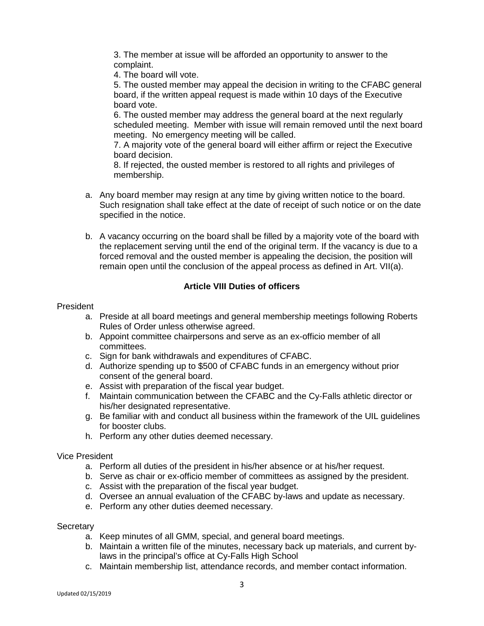3. The member at issue will be afforded an opportunity to answer to the complaint.

4. The board will vote.

5. The ousted member may appeal the decision in writing to the CFABC general board, if the written appeal request is made within 10 days of the Executive board vote.

6. The ousted member may address the general board at the next regularly scheduled meeting. Member with issue will remain removed until the next board meeting. No emergency meeting will be called.

7. A majority vote of the general board will either affirm or reject the Executive board decision.

8. If rejected, the ousted member is restored to all rights and privileges of membership.

- a. Any board member may resign at any time by giving written notice to the board. Such resignation shall take effect at the date of receipt of such notice or on the date specified in the notice.
- b. A vacancy occurring on the board shall be filled by a majority vote of the board with the replacement serving until the end of the original term. If the vacancy is due to a forced removal and the ousted member is appealing the decision, the position will remain open until the conclusion of the appeal process as defined in Art. VII(a).

# **Article VIII Duties of officers**

### President

- a. Preside at all board meetings and general membership meetings following Roberts Rules of Order unless otherwise agreed.
- b. Appoint committee chairpersons and serve as an ex-officio member of all committees.
- c. Sign for bank withdrawals and expenditures of CFABC.
- d. Authorize spending up to \$500 of CFABC funds in an emergency without prior consent of the general board.
- e. Assist with preparation of the fiscal year budget.
- f. Maintain communication between the CFABC and the Cy-Falls athletic director or his/her designated representative.
- g. Be familiar with and conduct all business within the framework of the UIL guidelines for booster clubs.
- h. Perform any other duties deemed necessary.

#### Vice President

- a. Perform all duties of the president in his/her absence or at his/her request.
- b. Serve as chair or ex-officio member of committees as assigned by the president.
- c. Assist with the preparation of the fiscal year budget.
- d. Oversee an annual evaluation of the CFABC by-laws and update as necessary.
- e. Perform any other duties deemed necessary.

#### **Secretary**

- a. Keep minutes of all GMM, special, and general board meetings.
- b. Maintain a written file of the minutes, necessary back up materials, and current bylaws in the principal's office at Cy-Falls High School
- c. Maintain membership list, attendance records, and member contact information.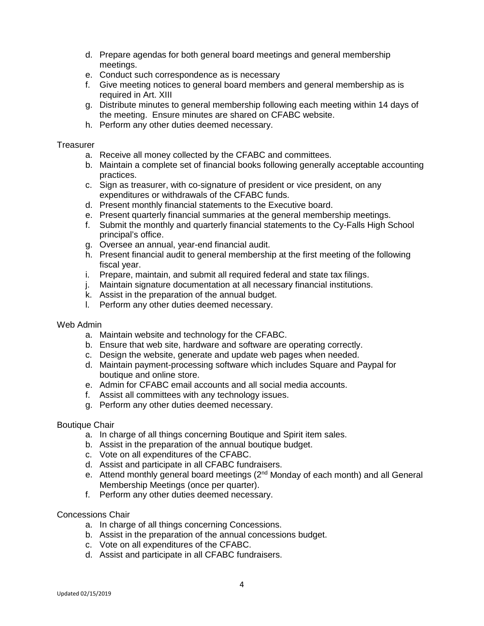- d. Prepare agendas for both general board meetings and general membership meetings.
- e. Conduct such correspondence as is necessary
- f. Give meeting notices to general board members and general membership as is required in Art. XIII
- g. Distribute minutes to general membership following each meeting within 14 days of the meeting. Ensure minutes are shared on CFABC website.
- h. Perform any other duties deemed necessary.

#### **Treasurer**

- a. Receive all money collected by the CFABC and committees.
- b. Maintain a complete set of financial books following generally acceptable accounting practices.
- c. Sign as treasurer, with co-signature of president or vice president, on any expenditures or withdrawals of the CFABC funds.
- d. Present monthly financial statements to the Executive board.
- e. Present quarterly financial summaries at the general membership meetings.
- f. Submit the monthly and quarterly financial statements to the Cy-Falls High School principal's office.
- g. Oversee an annual, year-end financial audit.
- h. Present financial audit to general membership at the first meeting of the following fiscal year.
- i. Prepare, maintain, and submit all required federal and state tax filings.
- j. Maintain signature documentation at all necessary financial institutions.
- k. Assist in the preparation of the annual budget.
- l. Perform any other duties deemed necessary.

#### Web Admin

- a. Maintain website and technology for the CFABC.
- b. Ensure that web site, hardware and software are operating correctly.
- c. Design the website, generate and update web pages when needed.
- d. Maintain payment-processing software which includes Square and Paypal for boutique and online store.
- e. Admin for CFABC email accounts and all social media accounts.
- f. Assist all committees with any technology issues.
- g. Perform any other duties deemed necessary.

#### Boutique Chair

- a. In charge of all things concerning Boutique and Spirit item sales.
- b. Assist in the preparation of the annual boutique budget.
- c. Vote on all expenditures of the CFABC.
- d. Assist and participate in all CFABC fundraisers.
- e. Attend monthly general board meetings (2<sup>nd</sup> Monday of each month) and all General Membership Meetings (once per quarter).
- f. Perform any other duties deemed necessary.

#### Concessions Chair

- a. In charge of all things concerning Concessions.
- b. Assist in the preparation of the annual concessions budget.
- c. Vote on all expenditures of the CFABC.
- d. Assist and participate in all CFABC fundraisers.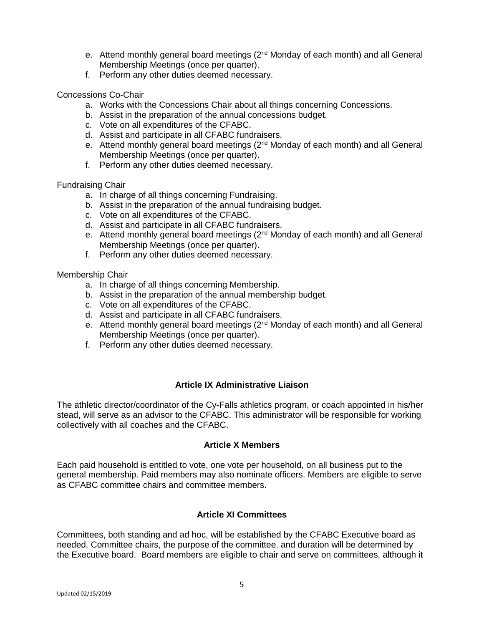- e. Attend monthly general board meetings (2<sup>nd</sup> Monday of each month) and all General Membership Meetings (once per quarter).
- f. Perform any other duties deemed necessary.

#### Concessions Co-Chair

- a. Works with the Concessions Chair about all things concerning Concessions.
- b. Assist in the preparation of the annual concessions budget.
- c. Vote on all expenditures of the CFABC.
- d. Assist and participate in all CFABC fundraisers.
- e. Attend monthly general board meetings  $(2^{nd}$  Monday of each month) and all General Membership Meetings (once per quarter).
- f. Perform any other duties deemed necessary.

#### Fundraising Chair

- a. In charge of all things concerning Fundraising.
- b. Assist in the preparation of the annual fundraising budget.
- c. Vote on all expenditures of the CFABC.
- d. Assist and participate in all CFABC fundraisers.
- e. Attend monthly general board meetings (2<sup>nd</sup> Monday of each month) and all General Membership Meetings (once per quarter).
- f. Perform any other duties deemed necessary.

#### Membership Chair

- a. In charge of all things concerning Membership.
- b. Assist in the preparation of the annual membership budget.
- c. Vote on all expenditures of the CFABC.
- d. Assist and participate in all CFABC fundraisers.
- e. Attend monthly general board meetings (2<sup>nd</sup> Monday of each month) and all General Membership Meetings (once per quarter).
- f. Perform any other duties deemed necessary.

# **Article IX Administrative Liaison**

The athletic director/coordinator of the Cy-Falls athletics program, or coach appointed in his/her stead, will serve as an advisor to the CFABC. This administrator will be responsible for working collectively with all coaches and the CFABC.

#### **Article X Members**

Each paid household is entitled to vote, one vote per household, on all business put to the general membership. Paid members may also nominate officers. Members are eligible to serve as CFABC committee chairs and committee members.

#### **Article XI Committees**

Committees, both standing and ad hoc, will be established by the CFABC Executive board as needed. Committee chairs, the purpose of the committee, and duration will be determined by the Executive board. Board members are eligible to chair and serve on committees, although it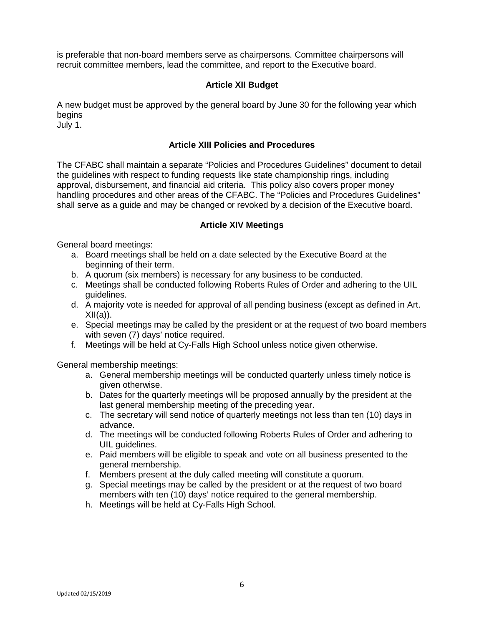is preferable that non-board members serve as chairpersons. Committee chairpersons will recruit committee members, lead the committee, and report to the Executive board.

# **Article XII Budget**

A new budget must be approved by the general board by June 30 for the following year which begins

July 1.

# **Article XIII Policies and Procedures**

The CFABC shall maintain a separate "Policies and Procedures Guidelines" document to detail the guidelines with respect to funding requests like state championship rings, including approval, disbursement, and financial aid criteria. This policy also covers proper money handling procedures and other areas of the CFABC. The "Policies and Procedures Guidelines" shall serve as a guide and may be changed or revoked by a decision of the Executive board.

# **Article XIV Meetings**

General board meetings:

- a. Board meetings shall be held on a date selected by the Executive Board at the beginning of their term.
- b. A quorum (six members) is necessary for any business to be conducted.
- c. Meetings shall be conducted following Roberts Rules of Order and adhering to the UIL guidelines.
- d. A majority vote is needed for approval of all pending business (except as defined in Art.  $XII(a)$ ).
- e. Special meetings may be called by the president or at the request of two board members with seven (7) days' notice required.
- f. Meetings will be held at Cy-Falls High School unless notice given otherwise.

General membership meetings:

- a. General membership meetings will be conducted quarterly unless timely notice is given otherwise.
- b. Dates for the quarterly meetings will be proposed annually by the president at the last general membership meeting of the preceding year.
- c. The secretary will send notice of quarterly meetings not less than ten (10) days in advance.
- d. The meetings will be conducted following Roberts Rules of Order and adhering to UIL quidelines.
- e. Paid members will be eligible to speak and vote on all business presented to the general membership.
- f. Members present at the duly called meeting will constitute a quorum.
- g. Special meetings may be called by the president or at the request of two board members with ten (10) days' notice required to the general membership.
- h. Meetings will be held at Cy-Falls High School.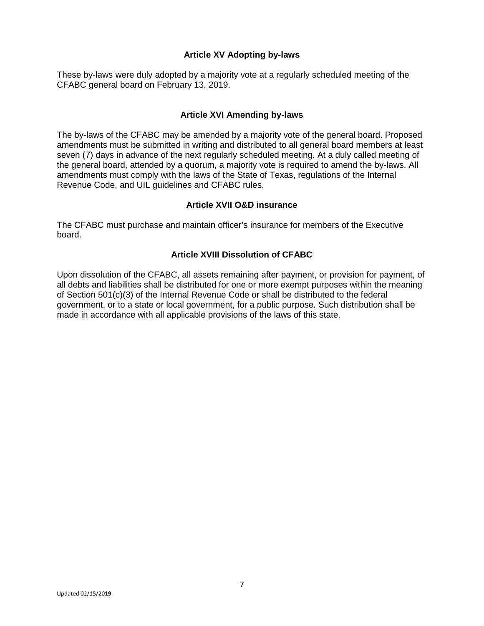### **Article XV Adopting by-laws**

These by-laws were duly adopted by a majority vote at a regularly scheduled meeting of the CFABC general board on February 13, 2019.

#### **Article XVI Amending by-laws**

The by-laws of the CFABC may be amended by a majority vote of the general board. Proposed amendments must be submitted in writing and distributed to all general board members at least seven (7) days in advance of the next regularly scheduled meeting. At a duly called meeting of the general board, attended by a quorum, a majority vote is required to amend the by-laws. All amendments must comply with the laws of the State of Texas, regulations of the Internal Revenue Code, and UIL guidelines and CFABC rules.

#### **Article XVII O&D insurance**

The CFABC must purchase and maintain officer's insurance for members of the Executive board.

### **Article XVIII Dissolution of CFABC**

Upon dissolution of the CFABC, all assets remaining after payment, or provision for payment, of all debts and liabilities shall be distributed for one or more exempt purposes within the meaning of Section 501(c)(3) of the Internal Revenue Code or shall be distributed to the federal government, or to a state or local government, for a public purpose. Such distribution shall be made in accordance with all applicable provisions of the laws of this state.